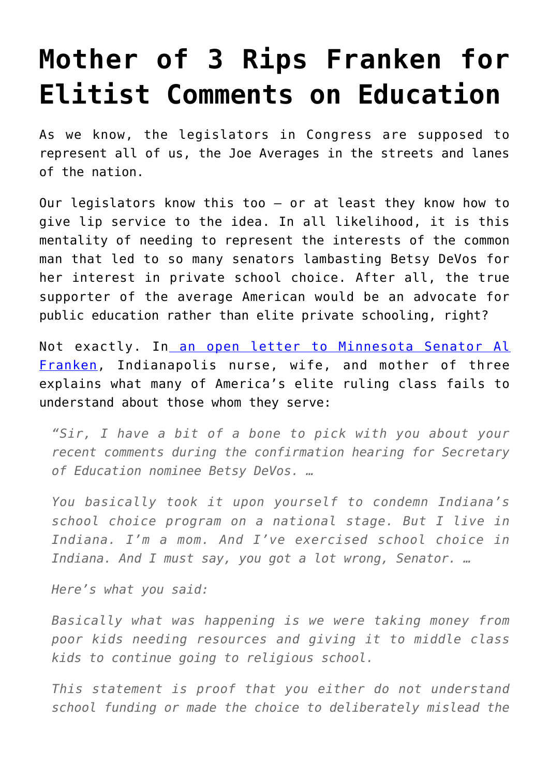## **[Mother of 3 Rips Franken for](https://intellectualtakeout.org/2017/02/mother-of-3-rips-franken-for-elitist-comments-on-education/) [Elitist Comments on Education](https://intellectualtakeout.org/2017/02/mother-of-3-rips-franken-for-elitist-comments-on-education/)**

As we know, the legislators in Congress are supposed to represent all of us, the Joe Averages in the streets and lanes of the nation.

Our legislators know this too – or at least they know how to give lip service to the idea. In all likelihood, it is this mentality of needing to represent the interests of the common man that led to so many senators lambasting Betsy DeVos for her interest in private school choice. After all, the true supporter of the average American would be an advocate for public education rather than elite private schooling, right?

Not exactly. In [an open letter to Minnesota Senator Al](http://www.indy.education/?author=583c69a96a49631ee35896df) [Franken,](http://www.indy.education/?author=583c69a96a49631ee35896df) Indianapolis nurse, wife, and mother of three explains what many of America's elite ruling class fails to understand about those whom they serve:

*"Sir, I have a bit of a bone to pick with you about your recent comments during the confirmation hearing for Secretary of Education nominee Betsy DeVos. …*

*You basically took it upon yourself to condemn Indiana's school choice program on a national stage. But I live in Indiana. I'm a mom. And I've exercised school choice in Indiana. And I must say, you got a lot wrong, Senator. …*

*Here's what you said:*

*Basically what was happening is we were taking money from poor kids needing resources and giving it to middle class kids to continue going to religious school.*

*This statement is proof that you either do not understand school funding or made the choice to deliberately mislead the*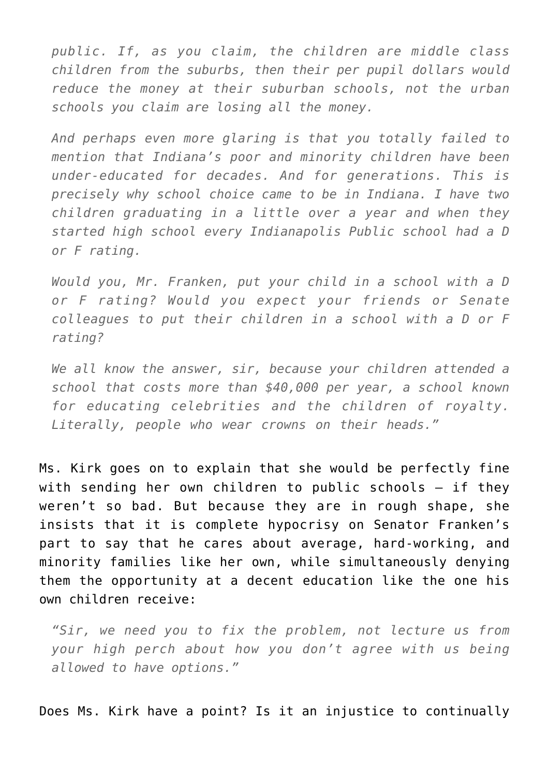*public. If, as you claim, the children are middle class children from the suburbs, then their per pupil dollars would reduce the money at their suburban schools, not the urban schools you claim are losing all the money.* 

*And perhaps even more glaring is that you totally failed to mention that Indiana's poor and minority children have been under-educated for decades. And for generations. This is precisely why school choice came to be in Indiana. I have two children graduating in a little over a year and when they started high school every Indianapolis Public school had a D or F rating.*

*Would you, Mr. Franken, put your child in a school with a D or F rating? Would you expect your friends or Senate colleagues to put their children in a school with a D or F rating?*

*We all know the answer, sir, because your children attended a school that costs more than \$40,000 per year, a school known for educating celebrities and the children of royalty. Literally, people who wear crowns on their heads."* 

Ms. Kirk goes on to explain that she would be perfectly fine with sending her own children to public schools – if they weren't so bad. But because they are in rough shape, she insists that it is complete hypocrisy on Senator Franken's part to say that he cares about average, hard-working, and minority families like her own, while simultaneously denying them the opportunity at a decent education like the one his own children receive:

*"Sir, we need you to fix the problem, not lecture us from your high perch about how you don't agree with us being allowed to have options."*

Does Ms. Kirk have a point? Is it an injustice to continually